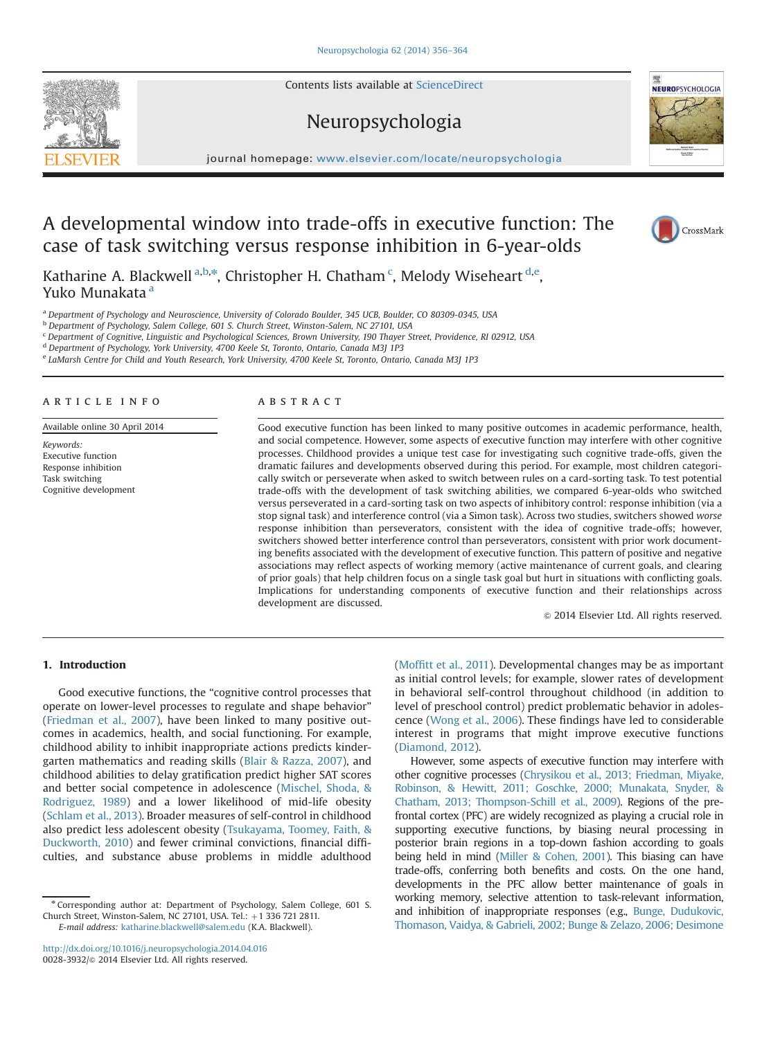Contents lists available at [ScienceDirect](www.sciencedirect.com/science/journal/00283932)

## Neuropsychologia



# A developmental window into trade-offs in executive function: The case of task switching versus response inhibition in 6-year-olds

Katharine A. Blackwell <sup>a,b,\*</sup>, Christopher H. Chatham <sup>c</sup>, Melody Wiseheart <sup>d,e</sup>, Yuko Munakata<sup>a</sup>

<sup>a</sup> Department of Psychology and Neuroscience, University of Colorado Boulder, 345 UCB, Boulder, CO 80309-0345, USA

<sup>b</sup> Department of Psychology, Salem College, 601 S. Church Street, Winston-Salem, NC 27101, USA

<sup>c</sup> Department of Cognitive, Linguistic and Psychological Sciences, Brown University, 190 Thayer Street, Providence, RI 02912, USA

<sup>d</sup> Department of Psychology, York University, 4700 Keele St, Toronto, Ontario, Canada M3J 1P3

<sup>e</sup> LaMarsh Centre for Child and Youth Research, York University, 4700 Keele St, Toronto, Ontario, Canada M3J 1P3

## article info

Available online 30 April 2014

Keywords: Executive function Response inhibition Task switching Cognitive development

## **ABSTRACT**

Good executive function has been linked to many positive outcomes in academic performance, health, and social competence. However, some aspects of executive function may interfere with other cognitive processes. Childhood provides a unique test case for investigating such cognitive trade-offs, given the dramatic failures and developments observed during this period. For example, most children categorically switch or perseverate when asked to switch between rules on a card-sorting task. To test potential trade-offs with the development of task switching abilities, we compared 6-year-olds who switched versus perseverated in a card-sorting task on two aspects of inhibitory control: response inhibition (via a stop signal task) and interference control (via a Simon task). Across two studies, switchers showed worse response inhibition than perseverators, consistent with the idea of cognitive trade-offs; however, switchers showed better interference control than perseverators, consistent with prior work documenting benefits associated with the development of executive function. This pattern of positive and negative associations may reflect aspects of working memory (active maintenance of current goals, and clearing of prior goals) that help children focus on a single task goal but hurt in situations with conflicting goals. Implications for understanding components of executive function and their relationships across development are discussed.

 $\odot$  2014 Elsevier Ltd. All rights reserved.

## 1. Introduction

Good executive functions, the "cognitive control processes that operate on lower-level processes to regulate and shape behavior" ([Friedman et al., 2007](#page-7-0)), have been linked to many positive outcomes in academics, health, and social functioning. For example, childhood ability to inhibit inappropriate actions predicts kindergarten mathematics and reading skills [\(Blair & Razza, 2007\)](#page-7-0), and childhood abilities to delay gratification predict higher SAT scores and better social competence in adolescence ([Mischel, Shoda,](#page-7-0) & [Rodriguez, 1989](#page-7-0)) and a lower likelihood of mid-life obesity ([Schlam et al., 2013](#page-8-0)). Broader measures of self-control in childhood also predict less adolescent obesity ([Tsukayama, Toomey, Faith,](#page-8-0) & [Duckworth, 2010](#page-8-0)) and fewer criminal convictions, financial difficulties, and substance abuse problems in middle adulthood

interest in programs that might improve executive functions ([Diamond, 2012](#page-7-0)). However, some aspects of executive function may interfere with

(Moffi[tt et al., 2011\)](#page-7-0). Developmental changes may be as important as initial control levels; for example, slower rates of development in behavioral self-control throughout childhood (in addition to level of preschool control) predict problematic behavior in adolescence ([Wong et al., 2006\)](#page-8-0). These findings have led to considerable

other cognitive processes [\(Chrysikou et al., 2013; Friedman, Miyake,](#page-7-0) [Robinson, &](#page-7-0) [Hewitt, 2011; Goschke, 2000; Munakata, Snyder, &](#page-8-0) [Chatham, 2013; Thompson-Schill et al., 2009\)](#page-8-0). Regions of the prefrontal cortex (PFC) are widely recognized as playing a crucial role in supporting executive functions, by biasing neural processing in posterior brain regions in a top-down fashion according to goals being held in mind ([Miller & Cohen, 2001](#page-7-0)). This biasing can have trade-offs, conferring both benefits and costs. On the one hand, developments in the PFC allow better maintenance of goals in working memory, selective attention to task-relevant information, and inhibition of inappropriate responses (e.g., [Bunge, Dudukovic,](#page-7-0) [Thomason, Vaidya,](#page-7-0) & [Gabrieli, 2002; Bunge & Zelazo, 2006; Desimone](#page-7-0)

<span id="page-0-0"></span>



CrossMark

<sup>n</sup> Corresponding author at: Department of Psychology, Salem College, 601 S. Church Street, Winston-Salem, NC 27101, USA. Tel.: +1 336 721 2811. E-mail address: [katharine.blackwell@salem.edu](mailto:katharine.blackwell@salem.edu) (K.A. Blackwell).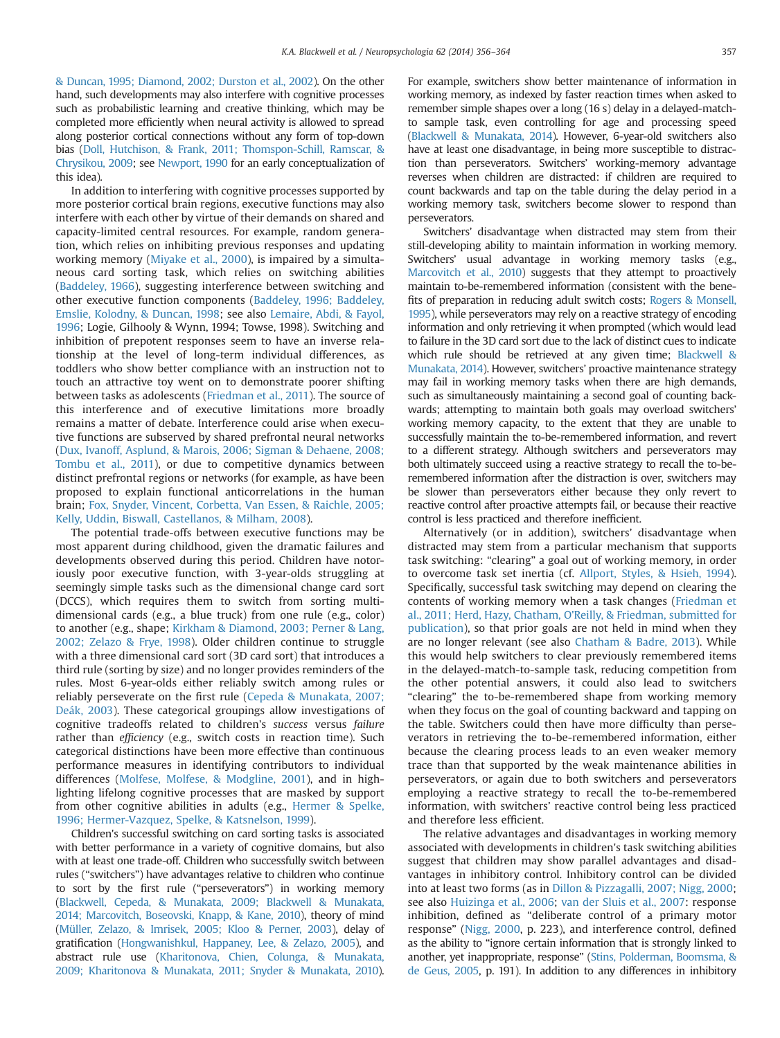[& Duncan, 1995; Diamond, 2002; Durston et al., 2002](#page-7-0)). On the other hand, such developments may also interfere with cognitive processes such as probabilistic learning and creative thinking, which may be completed more efficiently when neural activity is allowed to spread along posterior cortical connections without any form of top-down bias ([Doll, Hutchison, &](#page-7-0) [Frank, 2011; Thomspon-Schill, Ramscar, &](#page-8-0) [Chrysikou, 2009](#page-8-0); see [Newport, 1990](#page-8-0) for an early conceptualization of this idea).

In addition to interfering with cognitive processes supported by more posterior cortical brain regions, executive functions may also interfere with each other by virtue of their demands on shared and capacity-limited central resources. For example, random generation, which relies on inhibiting previous responses and updating working memory ([Miyake et al., 2000\)](#page-7-0), is impaired by a simultaneous card sorting task, which relies on switching abilities ([Baddeley, 1966\)](#page-7-0), suggesting interference between switching and other executive function components ([Baddeley, 1996; Baddeley,](#page-7-0) [Emslie, Kolodny, & Duncan, 1998;](#page-7-0) see also [Lemaire, Abdi, & Fayol,](#page-7-0) [1996;](#page-7-0) Logie, Gilhooly & Wynn, 1994; Towse, 1998). Switching and inhibition of prepotent responses seem to have an inverse relationship at the level of long-term individual differences, as toddlers who show better compliance with an instruction not to touch an attractive toy went on to demonstrate poorer shifting between tasks as adolescents [\(Friedman et al., 2011](#page-7-0)). The source of this interference and of executive limitations more broadly remains a matter of debate. Interference could arise when executive functions are subserved by shared prefrontal neural networks ([Dux, Ivanoff, Asplund, &](#page-7-0) [Marois, 2006; Sigman & Dehaene, 2008;](#page-8-0) [Tombu et al., 2011\)](#page-8-0), or due to competitive dynamics between distinct prefrontal regions or networks (for example, as have been proposed to explain functional anticorrelations in the human brain; [Fox, Snyder, Vincent, Corbetta, Van Essen, & Raichle, 2005;](#page-7-0) [Kelly, Uddin, Biswall, Castellanos,](#page-7-0) & [Milham, 2008\)](#page-7-0).

The potential trade-offs between executive functions may be most apparent during childhood, given the dramatic failures and developments observed during this period. Children have notoriously poor executive function, with 3-year-olds struggling at seemingly simple tasks such as the dimensional change card sort (DCCS), which requires them to switch from sorting multidimensional cards (e.g., a blue truck) from one rule (e.g., color) to another (e.g., shape; [Kirkham](#page-7-0) [& Diamond, 2003; Perner & Lang,](#page-8-0) [2002; Zelazo & Frye, 1998\)](#page-8-0). Older children continue to struggle with a three dimensional card sort (3D card sort) that introduces a third rule (sorting by size) and no longer provides reminders of the rules. Most 6-year-olds either reliably switch among rules or reliably perseverate on the first rule ([Cepeda & Munakata, 2007;](#page-7-0) [Deák, 2003](#page-7-0)). These categorical groupings allow investigations of cognitive tradeoffs related to children's success versus failure rather than *efficiency* (e.g., switch costs in reaction time). Such categorical distinctions have been more effective than continuous performance measures in identifying contributors to individual differences [\(Molfese, Molfese, & Modgline, 2001\)](#page-7-0), and in highlighting lifelong cognitive processes that are masked by support from other cognitive abilities in adults (e.g., [Hermer & Spelke,](#page-7-0) [1996; Hermer-Vazquez, Spelke,](#page-7-0) [& Katsnelson, 1999\)](#page-7-0).

Children's successful switching on card sorting tasks is associated with better performance in a variety of cognitive domains, but also with at least one trade-off. Children who successfully switch between rules ("switchers") have advantages relative to children who continue to sort by the first rule ("perseverators") in working memory [\(Blackwell, Cepeda,](#page-7-0) & [Munakata, 2009; Blackwell & Munakata,](#page-7-0) [2014; Marcovitch, Boseovski, Knapp, & Kane, 2010](#page-7-0)), theory of mind [\(Müller, Zelazo, & Imrisek, 2005; Kloo & Perner, 2003](#page-7-0)), delay of gratification ([Hongwanishkul, Happaney, Lee, & Zelazo, 2005](#page-7-0)), and abstract rule use [\(Kharitonova, Chien, Colunga, & Munakata,](#page-7-0) [2009; Kharitonova & Munakata, 2011; Snyder & Munakata, 2010\)](#page-7-0). For example, switchers show better maintenance of information in working memory, as indexed by faster reaction times when asked to remember simple shapes over a long (16 s) delay in a delayed-matchto sample task, even controlling for age and processing speed [\(Blackwell & Munakata, 2014\)](#page-7-0). However, 6-year-old switchers also have at least one disadvantage, in being more susceptible to distraction than perseverators. Switchers' working-memory advantage reverses when children are distracted: if children are required to count backwards and tap on the table during the delay period in a working memory task, switchers become slower to respond than perseverators.

Switchers' disadvantage when distracted may stem from their still-developing ability to maintain information in working memory. Switchers' usual advantage in working memory tasks (e.g., [Marcovitch et al., 2010](#page-7-0)) suggests that they attempt to proactively maintain to-be-remembered information (consistent with the benefits of preparation in reducing adult switch costs; [Rogers & Monsell,](#page-8-0) [1995](#page-8-0)), while perseverators may rely on a reactive strategy of encoding information and only retrieving it when prompted (which would lead to failure in the 3D card sort due to the lack of distinct cues to indicate which rule should be retrieved at any given time; [Blackwell &](#page-7-0) [Munakata, 2014\)](#page-7-0). However, switchers' proactive maintenance strategy may fail in working memory tasks when there are high demands, such as simultaneously maintaining a second goal of counting backwards; attempting to maintain both goals may overload switchers' working memory capacity, to the extent that they are unable to successfully maintain the to-be-remembered information, and revert to a different strategy. Although switchers and perseverators may both ultimately succeed using a reactive strategy to recall the to-beremembered information after the distraction is over, switchers may be slower than perseverators either because they only revert to reactive control after proactive attempts fail, or because their reactive control is less practiced and therefore inefficient.

Alternatively (or in addition), switchers' disadvantage when distracted may stem from a particular mechanism that supports task switching: "clearing" a goal out of working memory, in order to overcome task set inertia (cf. [Allport, Styles, & Hsieh, 1994\)](#page-6-0). Specifically, successful task switching may depend on clearing the contents of working memory when a task changes [\(Friedman et](#page-7-0) [al., 2011; Herd, Hazy, Chatham, O'Reilly,](#page-7-0) & [Friedman, submitted for](#page-7-0) [publication](#page-7-0)), so that prior goals are not held in mind when they are no longer relevant (see also [Chatham & Badre, 2013](#page-7-0)). While this would help switchers to clear previously remembered items in the delayed-match-to-sample task, reducing competition from the other potential answers, it could also lead to switchers "clearing" the to-be-remembered shape from working memory when they focus on the goal of counting backward and tapping on the table. Switchers could then have more difficulty than perseverators in retrieving the to-be-remembered information, either because the clearing process leads to an even weaker memory trace than that supported by the weak maintenance abilities in perseverators, or again due to both switchers and perseverators employing a reactive strategy to recall the to-be-remembered information, with switchers' reactive control being less practiced and therefore less efficient.

The relative advantages and disadvantages in working memory associated with developments in children's task switching abilities suggest that children may show parallel advantages and disadvantages in inhibitory control. Inhibitory control can be divided into at least two forms (as in [Dillon &](#page-7-0) [Pizzagalli, 2007; Nigg, 2000;](#page-8-0) see also [Huizinga et al., 2006](#page-7-0); [van der Sluis et al., 2007](#page-8-0): response inhibition, defined as "deliberate control of a primary motor response" [\(Nigg, 2000](#page-8-0), p. 223), and interference control, defined as the ability to "ignore certain information that is strongly linked to another, yet inappropriate, response" [\(Stins, Polderman, Boomsma, &](#page-8-0) [de Geus, 2005,](#page-8-0) p. 191). In addition to any differences in inhibitory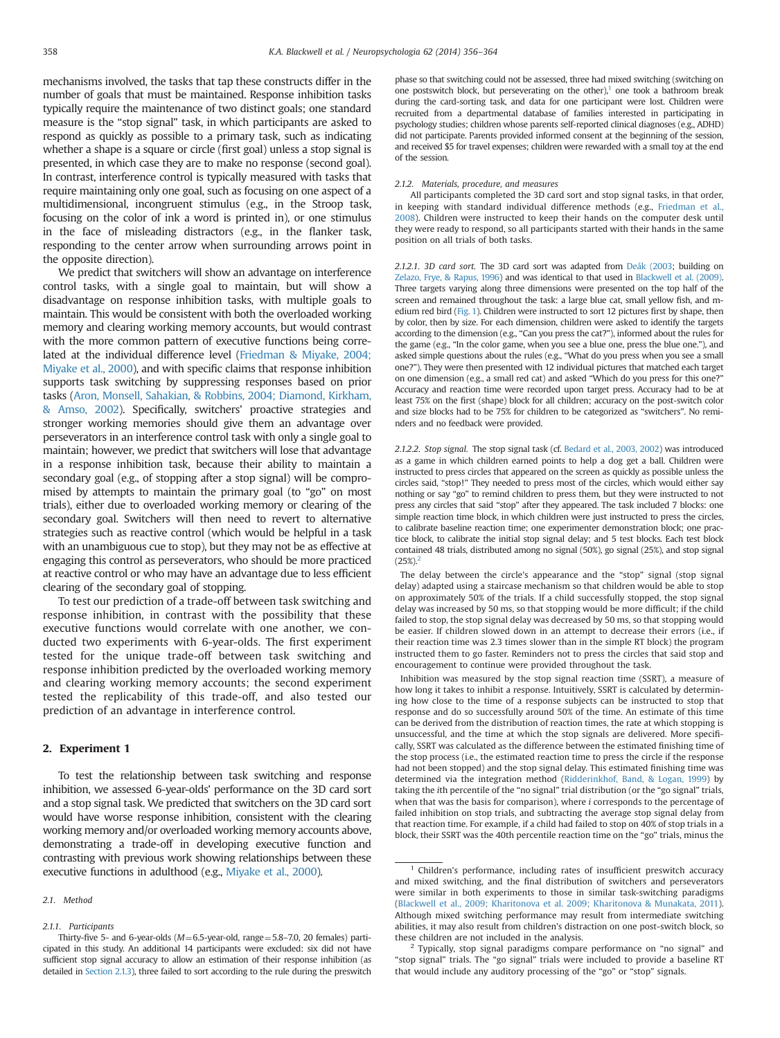mechanisms involved, the tasks that tap these constructs differ in the number of goals that must be maintained. Response inhibition tasks typically require the maintenance of two distinct goals; one standard measure is the "stop signal" task, in which participants are asked to respond as quickly as possible to a primary task, such as indicating whether a shape is a square or circle (first goal) unless a stop signal is presented, in which case they are to make no response (second goal). In contrast, interference control is typically measured with tasks that require maintaining only one goal, such as focusing on one aspect of a multidimensional, incongruent stimulus (e.g., in the Stroop task, focusing on the color of ink a word is printed in), or one stimulus in the face of misleading distractors (e.g., in the flanker task, responding to the center arrow when surrounding arrows point in the opposite direction).

We predict that switchers will show an advantage on interference control tasks, with a single goal to maintain, but will show a disadvantage on response inhibition tasks, with multiple goals to maintain. This would be consistent with both the overloaded working memory and clearing working memory accounts, but would contrast with the more common pattern of executive functions being correlated at the individual difference level [\(Friedman](#page-7-0) & [Miyake, 2004;](#page-7-0) [Miyake et al., 2000](#page-7-0)), and with specific claims that response inhibition supports task switching by suppressing responses based on prior tasks [\(Aron, Monsell, Sahakian,](#page-6-0) & [Robbins, 2004; Diamond, Kirkham,](#page-7-0) [& Amso, 2002\)](#page-7-0). Specifically, switchers' proactive strategies and stronger working memories should give them an advantage over perseverators in an interference control task with only a single goal to maintain; however, we predict that switchers will lose that advantage in a response inhibition task, because their ability to maintain a secondary goal (e.g., of stopping after a stop signal) will be compromised by attempts to maintain the primary goal (to "go" on most trials), either due to overloaded working memory or clearing of the secondary goal. Switchers will then need to revert to alternative strategies such as reactive control (which would be helpful in a task with an unambiguous cue to stop), but they may not be as effective at engaging this control as perseverators, who should be more practiced at reactive control or who may have an advantage due to less efficient clearing of the secondary goal of stopping.

To test our prediction of a trade-off between task switching and response inhibition, in contrast with the possibility that these executive functions would correlate with one another, we conducted two experiments with 6-year-olds. The first experiment tested for the unique trade-off between task switching and response inhibition predicted by the overloaded working memory and clearing working memory accounts; the second experiment tested the replicability of this trade-off, and also tested our prediction of an advantage in interference control.

## 2. Experiment 1

To test the relationship between task switching and response inhibition, we assessed 6-year-olds' performance on the 3D card sort and a stop signal task. We predicted that switchers on the 3D card sort would have worse response inhibition, consistent with the clearing working memory and/or overloaded working memory accounts above, demonstrating a trade-off in developing executive function and contrasting with previous work showing relationships between these executive functions in adulthood (e.g., [Miyake et al., 2000\)](#page-7-0).

phase so that switching could not be assessed, three had mixed switching (switching on one postswitch block, but perseverating on the other),<sup>1</sup> one took a bathroom break during the card-sorting task, and data for one participant were lost. Children were recruited from a departmental database of families interested in participating in psychology studies; children whose parents self-reported clinical diagnoses (e.g., ADHD) did not participate. Parents provided informed consent at the beginning of the session, and received \$5 for travel expenses; children were rewarded with a small toy at the end of the session.

#### 2.1.2. Materials, procedure, and measures

All participants completed the 3D card sort and stop signal tasks, in that order, in keeping with standard individual difference methods (e.g., [Friedman et al.,](#page-7-0) [2008](#page-7-0)). Children were instructed to keep their hands on the computer desk until they were ready to respond, so all participants started with their hands in the same position on all trials of both tasks.

2.1.2.1. 3D card sort. The 3D card sort was adapted from [Deák \(2003](#page-7-0); building on [Zelazo, Frye, & Rapus, 1996](#page-8-0)) and was identical to that used in [Blackwell et al. \(2009\)](#page-7-0). Three targets varying along three dimensions were presented on the top half of the screen and remained throughout the task: a large blue cat, small yellow fish, and medium red bird [\(Fig. 1\)](#page-3-0). Children were instructed to sort 12 pictures first by shape, then by color, then by size. For each dimension, children were asked to identify the targets according to the dimension (e.g., "Can you press the cat?"), informed about the rules for the game (e.g., "In the color game, when you see a blue one, press the blue one."), and asked simple questions about the rules (e.g., "What do you press when you see a small one?"). They were then presented with 12 individual pictures that matched each target on one dimension (e.g., a small red cat) and asked "Which do you press for this one?" Accuracy and reaction time were recorded upon target press. Accuracy had to be at least 75% on the first (shape) block for all children; accuracy on the post-switch color and size blocks had to be 75% for children to be categorized as "switchers". No reminders and no feedback were provided.

2.1.2.2. Stop signal. The stop signal task (cf. [Bedard et al., 2003, 2002](#page-7-0)) was introduced as a game in which children earned points to help a dog get a ball. Children were instructed to press circles that appeared on the screen as quickly as possible unless the circles said, "stop!" They needed to press most of the circles, which would either say nothing or say "go" to remind children to press them, but they were instructed to not press any circles that said "stop" after they appeared. The task included 7 blocks: one simple reaction time block, in which children were just instructed to press the circles, to calibrate baseline reaction time; one experimenter demonstration block; one practice block, to calibrate the initial stop signal delay; and 5 test blocks. Each test block contained 48 trials, distributed among no signal (50%), go signal (25%), and stop signal  $(25%)$ 

The delay between the circle's appearance and the "stop" signal (stop signal delay) adapted using a staircase mechanism so that children would be able to stop on approximately 50% of the trials. If a child successfully stopped, the stop signal delay was increased by 50 ms, so that stopping would be more difficult; if the child failed to stop, the stop signal delay was decreased by 50 ms, so that stopping would be easier. If children slowed down in an attempt to decrease their errors (i.e., if their reaction time was 2.3 times slower than in the simple RT block) the program instructed them to go faster. Reminders not to press the circles that said stop and encouragement to continue were provided throughout the task.

Inhibition was measured by the stop signal reaction time (SSRT), a measure of how long it takes to inhibit a response. Intuitively, SSRT is calculated by determining how close to the time of a response subjects can be instructed to stop that response and do so successfully around 50% of the time. An estimate of this time can be derived from the distribution of reaction times, the rate at which stopping is unsuccessful, and the time at which the stop signals are delivered. More specifically, SSRT was calculated as the difference between the estimated finishing time of the stop process (i.e., the estimated reaction time to press the circle if the response had not been stopped) and the stop signal delay. This estimated finishing time was determined via the integration method [\(Ridderinkhof, Band,](#page-8-0) & [Logan, 1999\)](#page-8-0) by taking the ith percentile of the "no signal" trial distribution (or the "go signal" trials, when that was the basis for comparison), where *i* corresponds to the percentage of failed inhibition on stop trials, and subtracting the average stop signal delay from that reaction time. For example, if a child had failed to stop on 40% of stop trials in a block, their SSRT was the 40th percentile reaction time on the "go" trials, minus the

<sup>2.1.</sup> Method

<sup>2.1.1.</sup> Participants

Thirty-five 5- and 6-year-olds ( $M=6.5$ -year-old, range $=5.8-7.0$ , 20 females) participated in this study. An additional 14 participants were excluded: six did not have sufficient stop signal accuracy to allow an estimation of their response inhibition (as detailed in [Section 2.1.3](#page-3-0)), three failed to sort according to the rule during the preswitch

<sup>1</sup> Children's performance, including rates of insufficient preswitch accuracy and mixed switching, and the final distribution of switchers and perseverators were similar in both experiments to those in similar task-switching paradigms [\(Blackwell et al., 2009; Kharitonova et al. 2009; Kharitonova & Munakata, 2011\)](#page-7-0). Although mixed switching performance may result from intermediate switching abilities, it may also result from children's distraction on one post-switch block, so these children are not included in the analysis.

<sup>2</sup> Typically, stop signal paradigms compare performance on "no signal" and "stop signal" trials. The "go signal" trials were included to provide a baseline RT that would include any auditory processing of the "go" or "stop" signals.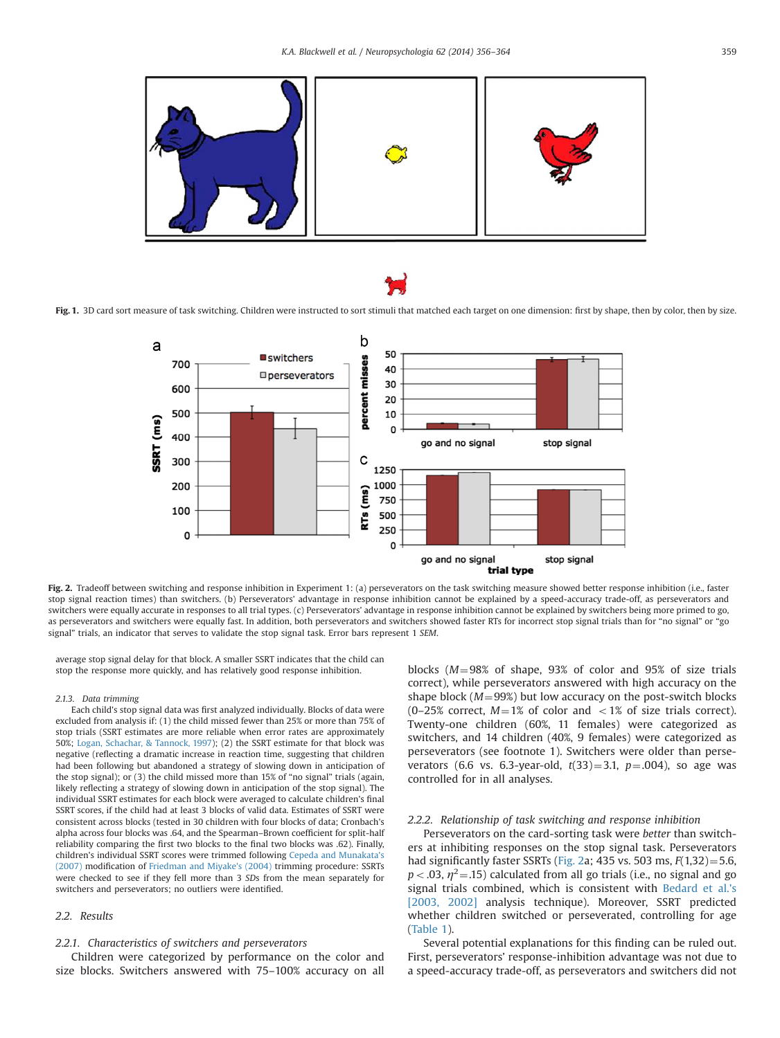<span id="page-3-0"></span>

Fig. 1. 3D card sort measure of task switching. Children were instructed to sort stimuli that matched each target on one dimension: first by shape, then by color, then by size.



Fig. 2. Tradeoff between switching and response inhibition in Experiment 1: (a) perseverators on the task switching measure showed better response inhibition (i.e., faster stop signal reaction times) than switchers. (b) Perseverators' advantage in response inhibition cannot be explained by a speed-accuracy trade-off, as perseverators and switchers were equally accurate in responses to all trial types. (c) Perseverators' advantage in response inhibition cannot be explained by switchers being more primed to go, as perseverators and switchers were equally fast. In addition, both perseverators and switchers showed faster RTs for incorrect stop signal trials than for "no signal" or "go signal" trials, an indicator that serves to validate the stop signal task. Error bars represent 1 SEM.

average stop signal delay for that block. A smaller SSRT indicates that the child can stop the response more quickly, and has relatively good response inhibition.

#### 2.1.3. Data trimming

Each child's stop signal data was first analyzed individually. Blocks of data were excluded from analysis if: (1) the child missed fewer than 25% or more than 75% of stop trials (SSRT estimates are more reliable when error rates are approximately 50%; [Logan, Schachar, & Tannock, 1997\)](#page-7-0); (2) the SSRT estimate for that block was negative (reflecting a dramatic increase in reaction time, suggesting that children had been following but abandoned a strategy of slowing down in anticipation of the stop signal); or (3) the child missed more than 15% of "no signal" trials (again, likely reflecting a strategy of slowing down in anticipation of the stop signal). The individual SSRT estimates for each block were averaged to calculate children's final SSRT scores, if the child had at least 3 blocks of valid data. Estimates of SSRT were consistent across blocks (tested in 30 children with four blocks of data; Cronbach's alpha across four blocks was .64, and the Spearman–Brown coefficient for split-half reliability comparing the first two blocks to the final two blocks was .62). Finally, children's individual SSRT scores were trimmed following [Cepeda and Munakata's](#page-7-0) [\(2007\)](#page-7-0) modification of [Friedman and Miyake's \(2004\)](#page-7-0) trimming procedure: SSRTs were checked to see if they fell more than 3 SDs from the mean separately for switchers and perseverators; no outliers were identified.

#### 2.2. Results

#### 2.2.1. Characteristics of switchers and perseverators

Children were categorized by performance on the color and size blocks. Switchers answered with 75–100% accuracy on all blocks ( $M=98\%$  of shape, 93% of color and 95% of size trials correct), while perseverators answered with high accuracy on the shape block ( $M = 99\%$ ) but low accuracy on the post-switch blocks (0-25% correct,  $M=1%$  of color and  $<1%$  of size trials correct). Twenty-one children (60%, 11 females) were categorized as switchers, and 14 children (40%, 9 females) were categorized as perseverators (see footnote 1). Switchers were older than perseverators (6.6 vs. 6.3-year-old,  $t(33)=3.1$ ,  $p=.004$ ), so age was controlled for in all analyses.

#### 2.2.2. Relationship of task switching and response inhibition

Perseverators on the card-sorting task were better than switchers at inhibiting responses on the stop signal task. Perseverators had significantly faster SSRTs (Fig. 2a; 435 vs. 503 ms,  $F(1,32) = 5.6$ ,  $p < .03$ ,  $\eta^2 = .15$ ) calculated from all go trials (i.e., no signal and go signal trials combined, which is consistent with [Bedard et al.](#page-7-0)'s [\[2003, 2002\]](#page-7-0) analysis technique). Moreover, SSRT predicted whether children switched or perseverated, controlling for age ([Table 1\)](#page-4-0).

Several potential explanations for this finding can be ruled out. First, perseverators' response-inhibition advantage was not due to a speed-accuracy trade-off, as perseverators and switchers did not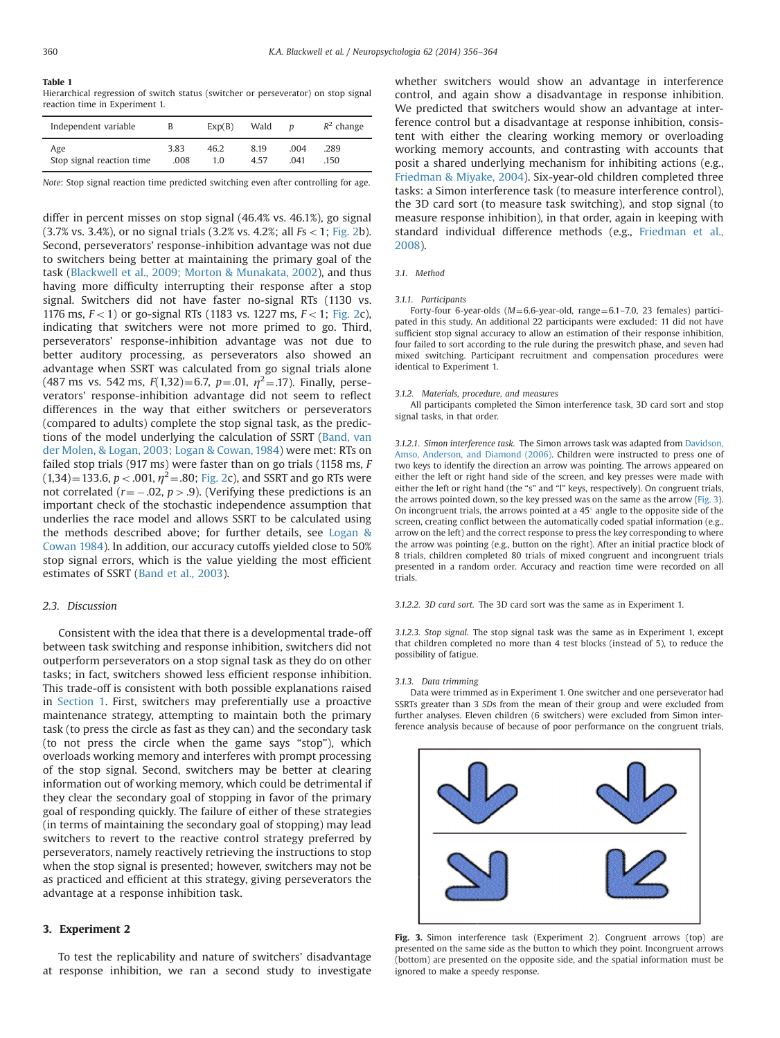#### <span id="page-4-0"></span>Table 1

Hierarchical regression of switch status (switcher or perseverator) on stop signal reaction time in Experiment 1.

| Independent variable      | B    | Exp(B) | Wald | n    | $R^2$ change |
|---------------------------|------|--------|------|------|--------------|
| Age                       | 3.83 | 46.2   | 8.19 | .004 | .289         |
| Stop signal reaction time | .008 | 1.0    | 457  | 041  | .150         |

Note: Stop signal reaction time predicted switching even after controlling for age.

differ in percent misses on stop signal (46.4% vs. 46.1%), go signal  $(3.7\% \text{ vs. } 3.4\%).$  or no signal trials  $(3.2\% \text{ vs. } 4.2\%$ ; all  $Fs < 1$ ; [Fig. 2](#page-3-0)b). Second, perseverators' response-inhibition advantage was not due to switchers being better at maintaining the primary goal of the task ([Blackwell et al., 2009; Morton](#page-7-0) & [Munakata, 2002\)](#page-7-0), and thus having more difficulty interrupting their response after a stop signal. Switchers did not have faster no-signal RTs (1130 vs. 1176 ms,  $F < 1$ ) or go-signal RTs (1183 vs. 1227 ms,  $F < 1$ ; [Fig. 2c](#page-3-0)), indicating that switchers were not more primed to go. Third, perseverators' response-inhibition advantage was not due to better auditory processing, as perseverators also showed an advantage when SSRT was calculated from go signal trials alone (487 ms vs. 542 ms,  $F(1,32)=6.7$ ,  $p=.01$ ,  $\eta^2=.17$ ). Finally, perseverators' response-inhibition advantage did not seem to reflect differences in the way that either switchers or perseverators (compared to adults) complete the stop signal task, as the predictions of the model underlying the calculation of SSRT [\(Band, van](#page-7-0) [der Molen,](#page-7-0) [& Logan, 2003; Logan](#page-7-0) & [Cowan, 1984](#page-7-0)) were met: RTs on failed stop trials (917 ms) were faster than on go trials (1158 ms, F  $(1,34)$ =133.6, p < .001,  $\eta^2$ =.80; [Fig. 2c](#page-3-0)), and SSRT and go RTs were not correlated ( $r = -.02$ ,  $p > .9$ ). (Verifying these predictions is an important check of the stochastic independence assumption that underlies the race model and allows SSRT to be calculated using the methods described above; for further details, see [Logan](#page-7-0) & [Cowan 1984\)](#page-7-0). In addition, our accuracy cutoffs yielded close to 50% stop signal errors, which is the value yielding the most efficient estimates of SSRT ([Band et al., 2003](#page-7-0)).

#### 2.3. Discussion

Consistent with the idea that there is a developmental trade-off between task switching and response inhibition, switchers did not outperform perseverators on a stop signal task as they do on other tasks; in fact, switchers showed less efficient response inhibition. This trade-off is consistent with both possible explanations raised in [Section 1](#page-0-0). First, switchers may preferentially use a proactive maintenance strategy, attempting to maintain both the primary task (to press the circle as fast as they can) and the secondary task (to not press the circle when the game says "stop"), which overloads working memory and interferes with prompt processing of the stop signal. Second, switchers may be better at clearing information out of working memory, which could be detrimental if they clear the secondary goal of stopping in favor of the primary goal of responding quickly. The failure of either of these strategies (in terms of maintaining the secondary goal of stopping) may lead switchers to revert to the reactive control strategy preferred by perseverators, namely reactively retrieving the instructions to stop when the stop signal is presented; however, switchers may not be as practiced and efficient at this strategy, giving perseverators the advantage at a response inhibition task.

## 3. Experiment 2

To test the replicability and nature of switchers' disadvantage at response inhibition, we ran a second study to investigate whether switchers would show an advantage in interference control, and again show a disadvantage in response inhibition. We predicted that switchers would show an advantage at interference control but a disadvantage at response inhibition, consistent with either the clearing working memory or overloading working memory accounts, and contrasting with accounts that posit a shared underlying mechanism for inhibiting actions (e.g., [Friedman](#page-7-0) & [Miyake, 2004](#page-7-0)). Six-year-old children completed three tasks: a Simon interference task (to measure interference control), the 3D card sort (to measure task switching), and stop signal (to measure response inhibition), in that order, again in keeping with standard individual difference methods (e.g., [Friedman et al.,](#page-7-0) [2008\)](#page-7-0).

## 3.1. Method

#### 3.1.1. Participants

Forty-four 6-year-olds ( $M=6.6$ -year-old, range $=6.1$ –7.0, 23 females) participated in this study. An additional 22 participants were excluded: 11 did not have sufficient stop signal accuracy to allow an estimation of their response inhibition, four failed to sort according to the rule during the preswitch phase, and seven had mixed switching. Participant recruitment and compensation procedures were identical to Experiment 1.

## 3.1.2. Materials, procedure, and measures

All participants completed the Simon interference task, 3D card sort and stop signal tasks, in that order.

3.1.2.1. Simon interference task. The Simon arrows task was adapted from [Davidson,](#page-7-0) [Amso, Anderson, and Diamond \(2006\)](#page-7-0). Children were instructed to press one of two keys to identify the direction an arrow was pointing. The arrows appeared on either the left or right hand side of the screen, and key presses were made with either the left or right hand (the "s" and "l" keys, respectively). On congruent trials, the arrows pointed down, so the key pressed was on the same as the arrow (Fig. 3). On incongruent trials, the arrows pointed at a  $45^{\circ}$  angle to the opposite side of the screen, creating conflict between the automatically coded spatial information (e.g., arrow on the left) and the correct response to press the key corresponding to where the arrow was pointing (e.g., button on the right). After an initial practice block of 8 trials, children completed 80 trials of mixed congruent and incongruent trials presented in a random order. Accuracy and reaction time were recorded on all trials.

3.1.2.2. 3D card sort. The 3D card sort was the same as in Experiment 1.

3.1.2.3. Stop signal. The stop signal task was the same as in Experiment 1, except that children completed no more than 4 test blocks (instead of 5), to reduce the possibility of fatigue.

#### 3.1.3. Data trimming

Data were trimmed as in Experiment 1. One switcher and one perseverator had SSRTs greater than 3 SDs from the mean of their group and were excluded from further analyses. Eleven children (6 switchers) were excluded from Simon interference analysis because of because of poor performance on the congruent trials,



Fig. 3. Simon interference task (Experiment 2). Congruent arrows (top) are presented on the same side as the button to which they point. Incongruent arrows (bottom) are presented on the opposite side, and the spatial information must be ignored to make a speedy response.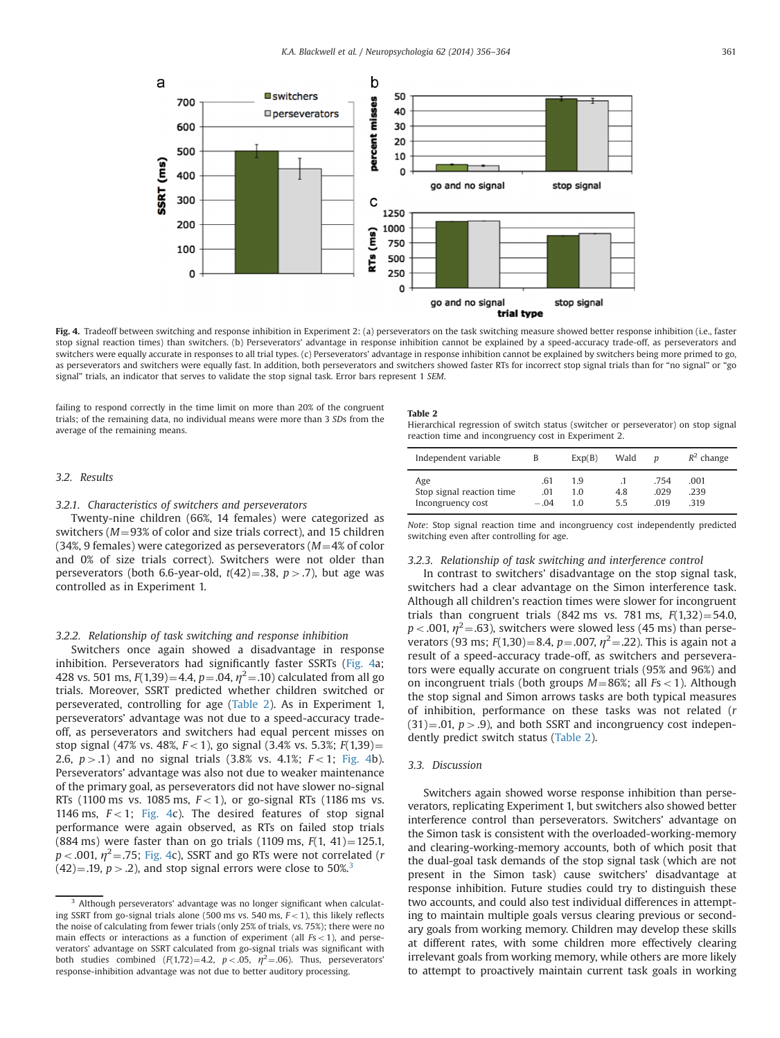

Fig. 4. Tradeoff between switching and response inhibition in Experiment 2: (a) perseverators on the task switching measure showed better response inhibition (i.e., faster stop signal reaction times) than switchers. (b) Perseverators' advantage in response inhibition cannot be explained by a speed-accuracy trade-off, as perseverators and switchers were equally accurate in responses to all trial types. (c) Perseverators' advantage in response inhibition cannot be explained by switchers being more primed to go, as perseverators and switchers were equally fast. In addition, both perseverators and switchers showed faster RTs for incorrect stop signal trials than for "no signal" or "go signal" trials, an indicator that serves to validate the stop signal task. Error bars represent 1 SEM.

failing to respond correctly in the time limit on more than 20% of the congruent trials; of the remaining data, no individual means were more than 3 SDs from the average of the remaining means.

#### Table 2

Hierarchical regression of switch status (switcher or perseverator) on stop signal reaction time and incongruency cost in Experiment 2.

## 3.2. Results

## 3.2.1. Characteristics of switchers and perseverators

Twenty-nine children (66%, 14 females) were categorized as switchers ( $M = 93\%$  of color and size trials correct), and 15 children (34%, 9 females) were categorized as perseverators ( $M=4%$  of color and 0% of size trials correct). Switchers were not older than perseverators (both 6.6-year-old,  $t(42) = .38$ ,  $p > .7$ ), but age was controlled as in Experiment 1.

## 3.2.2. Relationship of task switching and response inhibition

Switchers once again showed a disadvantage in response inhibition. Perseverators had significantly faster SSRTs (Fig. 4a; 428 vs. 501 ms,  $F(1,39) = 4.4$ ,  $p = .04$ ,  $\eta^2 = .10$ ) calculated from all go trials. Moreover, SSRT predicted whether children switched or perseverated, controlling for age (Table 2). As in Experiment 1, perseverators' advantage was not due to a speed-accuracy tradeoff, as perseverators and switchers had equal percent misses on stop signal (47% vs. 48%,  $F<1$ ), go signal (3.4% vs. 5.3%;  $F(1,39)=$ 2.6,  $p > .1$ ) and no signal trials (3.8% vs. 4.1%;  $F < 1$ ; Fig. 4b). Perseverators' advantage was also not due to weaker maintenance of the primary goal, as perseverators did not have slower no-signal RTs (1100 ms vs. 1085 ms,  $F < 1$ ), or go-signal RTs (1186 ms vs. 1146 ms,  $F < 1$ ; Fig. 4c). The desired features of stop signal performance were again observed, as RTs on failed stop trials (884 ms) were faster than on go trials (1109 ms,  $F(1, 41) = 125.1$ ,  $p < .001$ ,  $\eta^2 = .75$ ; Fig. 4c), SSRT and go RTs were not correlated (r  $(42) = .19$ ,  $p > .2$ ), and stop signal errors were close to 50%.<sup>3</sup>

| Independent variable                                  | B                    | Exp(B)            | Wald       | n                   | $R^2$ change         |
|-------------------------------------------------------|----------------------|-------------------|------------|---------------------|----------------------|
| Age<br>Stop signal reaction time<br>Incongruency cost | .61<br>.01<br>$-.04$ | 1.9<br>1.0<br>1 ດ | 4.8<br>5.5 | .754<br>.029<br>019 | .001<br>.239<br>.319 |

Note: Stop signal reaction time and incongruency cost independently predicted switching even after controlling for age.

### 3.2.3. Relationship of task switching and interference control

In contrast to switchers' disadvantage on the stop signal task, switchers had a clear advantage on the Simon interference task. Although all children's reaction times were slower for incongruent trials than congruent trials (842 ms vs. 781 ms,  $F(1,32)=54.0$ ,  $p < .001$ ,  $\eta^2 = .63$ ), switchers were slowed less (45 ms) than perseverators (93 ms;  $F(1,30) = 8.4$ ,  $p = .007$ ,  $\eta^2 = .22$ ). This is again not a result of a speed-accuracy trade-off, as switchers and perseverators were equally accurate on congruent trials (95% and 96%) and on incongruent trials (both groups  $M=86\%$ ; all  $Fs<1$ ). Although the stop signal and Simon arrows tasks are both typical measures of inhibition, performance on these tasks was not related (r  $(31) = .01$ ,  $p > .9$ ), and both SSRT and incongruency cost independently predict switch status (Table 2).

### 3.3. Discussion

Switchers again showed worse response inhibition than perseverators, replicating Experiment 1, but switchers also showed better interference control than perseverators. Switchers' advantage on the Simon task is consistent with the overloaded-working-memory and clearing-working-memory accounts, both of which posit that the dual-goal task demands of the stop signal task (which are not present in the Simon task) cause switchers' disadvantage at response inhibition. Future studies could try to distinguish these two accounts, and could also test individual differences in attempting to maintain multiple goals versus clearing previous or secondary goals from working memory. Children may develop these skills at different rates, with some children more effectively clearing irrelevant goals from working memory, while others are more likely to attempt to proactively maintain current task goals in working

<sup>&</sup>lt;sup>3</sup> Although perseverators' advantage was no longer significant when calculating SSRT from go-signal trials alone (500 ms vs. 540 ms,  $F<1$ ), this likely reflects the noise of calculating from fewer trials (only 25% of trials, vs. 75%); there were no main effects or interactions as a function of experiment (all  $Fs < 1$ ), and perseverators' advantage on SSRT calculated from go-signal trials was significant with both studies combined  $(F(1,72)=4.2, p<.05, \eta^2=.06)$ . Thus, perseverators' response-inhibition advantage was not due to better auditory processing.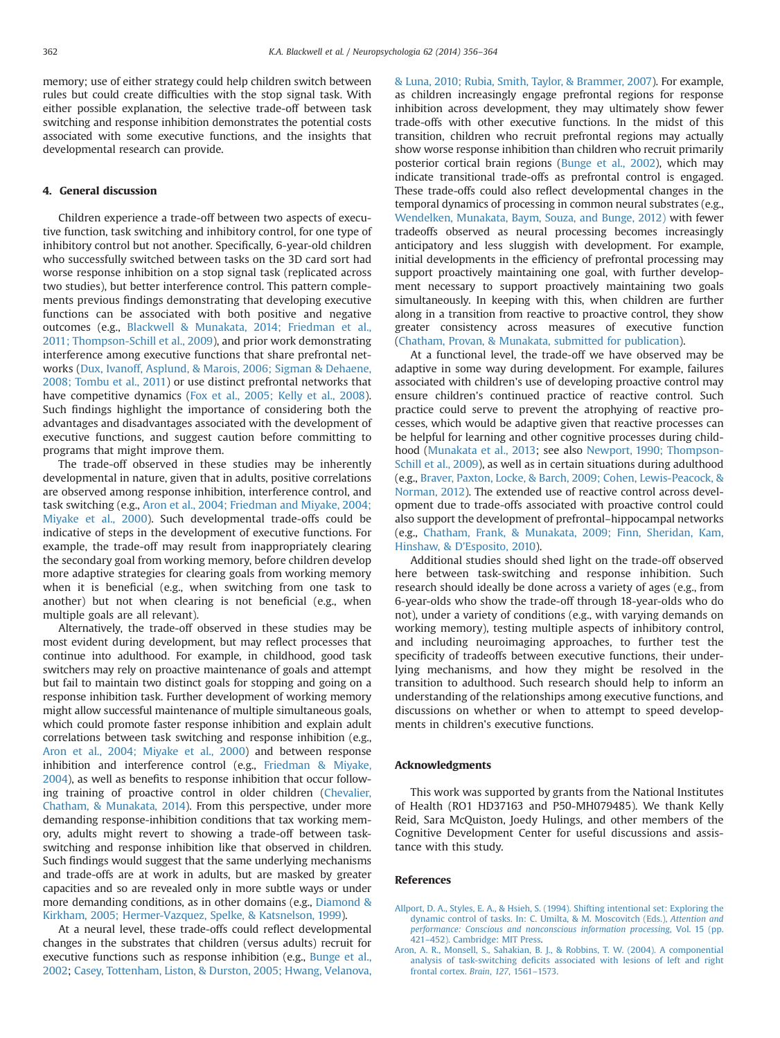<span id="page-6-0"></span>memory; use of either strategy could help children switch between rules but could create difficulties with the stop signal task. With either possible explanation, the selective trade-off between task switching and response inhibition demonstrates the potential costs associated with some executive functions, and the insights that developmental research can provide.

## 4. General discussion

Children experience a trade-off between two aspects of executive function, task switching and inhibitory control, for one type of inhibitory control but not another. Specifically, 6-year-old children who successfully switched between tasks on the 3D card sort had worse response inhibition on a stop signal task (replicated across two studies), but better interference control. This pattern complements previous findings demonstrating that developing executive functions can be associated with both positive and negative outcomes (e.g., [Blackwell](#page-7-0) & [Munakata, 2014; Friedman et al.,](#page-7-0) [2011; Thompson-Schill et al., 2009\)](#page-8-0), and prior work demonstrating interference among executive functions that share prefrontal networks [\(Dux, Ivanoff, Asplund,](#page-7-0) & [Marois, 2006; Sigman & Dehaene,](#page-8-0) [2008; Tombu et al., 2011](#page-8-0)) or use distinct prefrontal networks that have competitive dynamics [\(Fox et al., 2005; Kelly et al., 2008\)](#page-7-0). Such findings highlight the importance of considering both the advantages and disadvantages associated with the development of executive functions, and suggest caution before committing to programs that might improve them.

The trade-off observed in these studies may be inherently developmental in nature, given that in adults, positive correlations are observed among response inhibition, interference control, and task switching (e.g., [Aron et al., 2004; Friedman and Miyake, 2004;](#page-7-0) [Miyake et al., 2000\)](#page-7-0). Such developmental trade-offs could be indicative of steps in the development of executive functions. For example, the trade-off may result from inappropriately clearing the secondary goal from working memory, before children develop more adaptive strategies for clearing goals from working memory when it is beneficial (e.g., when switching from one task to another) but not when clearing is not beneficial (e.g., when multiple goals are all relevant).

Alternatively, the trade-off observed in these studies may be most evident during development, but may reflect processes that continue into adulthood. For example, in childhood, good task switchers may rely on proactive maintenance of goals and attempt but fail to maintain two distinct goals for stopping and going on a response inhibition task. Further development of working memory might allow successful maintenance of multiple simultaneous goals, which could promote faster response inhibition and explain adult correlations between task switching and response inhibition (e.g., [Aron et al., 2004; Miyake et al., 2000](#page-7-0)) and between response inhibition and interference control (e.g., [Friedman & Miyake,](#page-7-0) [2004\)](#page-7-0), as well as benefits to response inhibition that occur following training of proactive control in older children ([Chevalier,](#page-7-0) [Chatham, & Munakata, 2014\)](#page-7-0). From this perspective, under more demanding response-inhibition conditions that tax working memory, adults might revert to showing a trade-off between taskswitching and response inhibition like that observed in children. Such findings would suggest that the same underlying mechanisms and trade-offs are at work in adults, but are masked by greater capacities and so are revealed only in more subtle ways or under more demanding conditions, as in other domains (e.g., [Diamond](#page-7-0) & [Kirkham, 2005; Hermer-Vazquez, Spelke, & Katsnelson, 1999\)](#page-7-0).

At a neural level, these trade-offs could reflect developmental changes in the substrates that children (versus adults) recruit for executive functions such as response inhibition (e.g., [Bunge et al.,](#page-7-0) [2002;](#page-7-0) [Casey, Tottenham, Liston, & Durston, 2005; Hwang, Velanova,](#page-7-0) [& Luna, 2010; Rubia, Smith, Taylor, & Brammer, 2007\)](#page-8-0). For example, as children increasingly engage prefrontal regions for response inhibition across development, they may ultimately show fewer trade-offs with other executive functions. In the midst of this transition, children who recruit prefrontal regions may actually show worse response inhibition than children who recruit primarily posterior cortical brain regions ([Bunge et al., 2002\)](#page-7-0), which may indicate transitional trade-offs as prefrontal control is engaged. These trade-offs could also reflect developmental changes in the temporal dynamics of processing in common neural substrates (e.g., [Wendelken, Munakata, Baym, Souza, and Bunge, 2012\)](#page-8-0) with fewer tradeoffs observed as neural processing becomes increasingly anticipatory and less sluggish with development. For example, initial developments in the efficiency of prefrontal processing may support proactively maintaining one goal, with further development necessary to support proactively maintaining two goals simultaneously. In keeping with this, when children are further along in a transition from reactive to proactive control, they show greater consistency across measures of executive function ([Chatham, Provan, & Munakata, submitted for publication\)](#page-7-0).

At a functional level, the trade-off we have observed may be adaptive in some way during development. For example, failures associated with children's use of developing proactive control may ensure children's continued practice of reactive control. Such practice could serve to prevent the atrophying of reactive processes, which would be adaptive given that reactive processes can be helpful for learning and other cognitive processes during childhood ([Munakata et al., 2013](#page-8-0); see also [Newport, 1990; Thompson-](#page-8-0)[Schill et al., 2009](#page-8-0)), as well as in certain situations during adulthood (e.g., [Braver, Paxton, Locke, & Barch, 2009; Cohen, Lewis-Peacock,](#page-7-0) & [Norman, 2012](#page-7-0)). The extended use of reactive control across development due to trade-offs associated with proactive control could also support the development of prefrontal–hippocampal networks (e.g., [Chatham, Frank, & Munakata, 2009; Finn, Sheridan, Kam,](#page-7-0) [Hinshaw,](#page-7-0) & [D'Esposito, 2010](#page-7-0)).

Additional studies should shed light on the trade-off observed here between task-switching and response inhibition. Such research should ideally be done across a variety of ages (e.g., from 6-year-olds who show the trade-off through 18-year-olds who do not), under a variety of conditions (e.g., with varying demands on working memory), testing multiple aspects of inhibitory control, and including neuroimaging approaches, to further test the specificity of tradeoffs between executive functions, their underlying mechanisms, and how they might be resolved in the transition to adulthood. Such research should help to inform an understanding of the relationships among executive functions, and discussions on whether or when to attempt to speed developments in children's executive functions.

## Acknowledgments

This work was supported by grants from the National Institutes of Health (RO1 HD37163 and P50-MH079485). We thank Kelly Reid, Sara McQuiston, Joedy Hulings, and other members of the Cognitive Development Center for useful discussions and assistance with this study.

## References

- [Allport, D. A., Styles, E. A., & Hsieh, S. \(1994\). Shifting intentional set: Exploring the](http://refhub.elsevier.com/S0028-3932(14)00138-9/sbref1) [dynamic control of tasks. In: C. Umilta, & M. Moscovitch \(Eds.\),](http://refhub.elsevier.com/S0028-3932(14)00138-9/sbref1) Attention and [performance: Conscious and nonconscious information processing](http://refhub.elsevier.com/S0028-3932(14)00138-9/sbref1), Vol. 15 (pp. 421–[452\). Cambridge: MIT Press.](http://refhub.elsevier.com/S0028-3932(14)00138-9/sbref1)
- [Aron, A. R., Monsell, S., Sahakian, B. J., & Robbins, T. W. \(2004\). A componential](http://refhub.elsevier.com/S0028-3932(14)00138-9/sbref2) analysis of task-switching defi[cits associated with lesions of left and right](http://refhub.elsevier.com/S0028-3932(14)00138-9/sbref2) [frontal cortex.](http://refhub.elsevier.com/S0028-3932(14)00138-9/sbref2) Brain, 127, 1561–1573.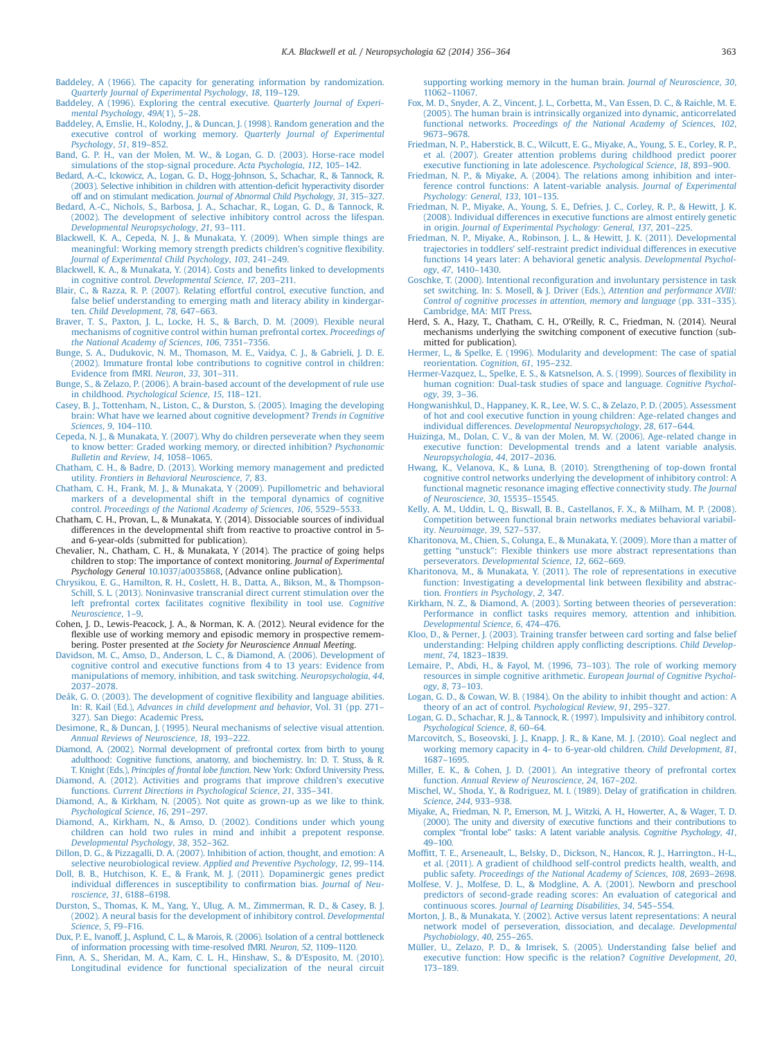- <span id="page-7-0"></span>[Baddeley, A \(1966\). The capacity for generating information by randomization.](http://refhub.elsevier.com/S0028-3932(14)00138-9/sbref3) [Quarterly Journal of Experimental Psychology](http://refhub.elsevier.com/S0028-3932(14)00138-9/sbref3), 18, 119–129.
- [Baddeley, A \(1996\). Exploring the central executive.](http://refhub.elsevier.com/S0028-3932(14)00138-9/sbref4) Quarterly Journal of Experi[mental Psychology](http://refhub.elsevier.com/S0028-3932(14)00138-9/sbref4), 49A(1), 5–28.
- [Baddeley, A, Emslie, H., Kolodny, J., & Duncan, J. \(1998\). Random generation and the](http://refhub.elsevier.com/S0028-3932(14)00138-9/sbref5) [executive control of working memory.](http://refhub.elsevier.com/S0028-3932(14)00138-9/sbref5) Quarterly Journal of Experimental [Psychology](http://refhub.elsevier.com/S0028-3932(14)00138-9/sbref5), 51, 819–852.
- [Band, G. P. H., van der Molen, M. W., & Logan, G. D. \(2003\). Horse-race model](http://refhub.elsevier.com/S0028-3932(14)00138-9/sbref6) [simulations of the stop-signal procedure.](http://refhub.elsevier.com/S0028-3932(14)00138-9/sbref6) Acta Psychologia, 112, 105–142.
- [Bedard, A.-C., Ickowicz, A., Logan, G. D., Hogg-Johnson, S., Schachar, R., & Tannock, R.](http://refhub.elsevier.com/S0028-3932(14)00138-9/sbref7) [\(2003\). Selective inhibition in children with attention-de](http://refhub.elsevier.com/S0028-3932(14)00138-9/sbref7)ficit hyperactivity disorder off and on stimulant medication. [Journal of Abnormal Child Psychology](http://refhub.elsevier.com/S0028-3932(14)00138-9/sbref7), 31, 315–327.
- [Bedard, A.-C., Nichols, S., Barbosa, J. A., Schachar, R., Logan, G. D., & Tannock, R.](http://refhub.elsevier.com/S0028-3932(14)00138-9/sbref8) [\(2002\). The development of selective inhibitory control across the lifespan.](http://refhub.elsevier.com/S0028-3932(14)00138-9/sbref8) [Developmental Neuropsychology](http://refhub.elsevier.com/S0028-3932(14)00138-9/sbref8), 21, 93–111.
- [Blackwell, K. A., Cepeda, N. J., & Munakata, Y. \(2009\). When simple things are](http://refhub.elsevier.com/S0028-3932(14)00138-9/sbref9) [meaningful: Working memory strength predicts children's cognitive](http://refhub.elsevier.com/S0028-3932(14)00138-9/sbref9) flexibility. [Journal of Experimental Child Psychology](http://refhub.elsevier.com/S0028-3932(14)00138-9/sbref9), 103, 241–249.
- [Blackwell, K. A., & Munakata, Y. \(2014\). Costs and bene](http://refhub.elsevier.com/S0028-3932(14)00138-9/sbref10)fits linked to developments in cognitive control. [Developmental Science](http://refhub.elsevier.com/S0028-3932(14)00138-9/sbref10), 17, 203–211.
- [Blair, C., & Razza, R. P. \(2007\). Relating effortful control, executive function, and](http://refhub.elsevier.com/S0028-3932(14)00138-9/sbref11) [false belief understanding to emerging math and literacy ability in kindergar](http://refhub.elsevier.com/S0028-3932(14)00138-9/sbref11)ten. [Child Development](http://refhub.elsevier.com/S0028-3932(14)00138-9/sbref11), 78, 647–663.
- [Braver, T. S., Paxton, J. L., Locke, H. S., & Barch, D. M. \(2009\). Flexible neural](http://refhub.elsevier.com/S0028-3932(14)00138-9/sbref12) [mechanisms of cognitive control within human prefrontal cortex.](http://refhub.elsevier.com/S0028-3932(14)00138-9/sbref12) Proceedings of [the National Academy of Sciences](http://refhub.elsevier.com/S0028-3932(14)00138-9/sbref12), 106, 7351–7356.
- [Bunge, S. A., Dudukovic, N. M., Thomason, M. E., Vaidya, C. J., & Gabrieli, J. D. E.](http://refhub.elsevier.com/S0028-3932(14)00138-9/sbref13) [\(2002\). Immature frontal lobe contributions to cognitive control in children:](http://refhub.elsevier.com/S0028-3932(14)00138-9/sbref13) [Evidence from fMRI.](http://refhub.elsevier.com/S0028-3932(14)00138-9/sbref13) Neuron, 33, 301–311.
- [Bunge, S., & Zelazo, P. \(2006\). A brain-based account of the development of rule use](http://refhub.elsevier.com/S0028-3932(14)00138-9/sbref14) in childhood. [Psychological Science](http://refhub.elsevier.com/S0028-3932(14)00138-9/sbref14), 15, 118–121.
- [Casey, B. J., Tottenham, N., Liston, C., & Durston, S. \(2005\). Imaging the developing](http://refhub.elsevier.com/S0028-3932(14)00138-9/sbref15) [brain: What have we learned about cognitive development?](http://refhub.elsevier.com/S0028-3932(14)00138-9/sbref15) Trends in Cognitive [Sciences](http://refhub.elsevier.com/S0028-3932(14)00138-9/sbref15), 9, 104–110.
- [Cepeda, N. J., & Munakata, Y. \(2007\). Why do children perseverate when they seem](http://refhub.elsevier.com/S0028-3932(14)00138-9/sbref16) [to know better: Graded working memory, or directed inhibition?](http://refhub.elsevier.com/S0028-3932(14)00138-9/sbref16) Psychonomic [Bulletin and Review](http://refhub.elsevier.com/S0028-3932(14)00138-9/sbref16), 14, 1058–1065.
- [Chatham, C. H., & Badre, D. \(2013\). Working memory management and predicted](http://refhub.elsevier.com/S0028-3932(14)00138-9/sbref18) utility. [Frontiers in Behavioral Neuroscience](http://refhub.elsevier.com/S0028-3932(14)00138-9/sbref18), 7, 83.
- [Chatham, C. H., Frank, M. J., & Munakata, Y \(2009\). Pupillometric and behavioral](http://refhub.elsevier.com/S0028-3932(14)00138-9/sbref19) [markers of a developmental shift in the temporal dynamics of cognitive](http://refhub.elsevier.com/S0028-3932(14)00138-9/sbref19) control. [Proceedings of the National Academy of Sciences](http://refhub.elsevier.com/S0028-3932(14)00138-9/sbref19), 106, 5529–5533.
- Chatham, C. H., Provan, L., & Munakata, Y. (2014). Dissociable sources of individual differences in the developmental shift from reactive to proactive control in 5 and 6-year-olds (submitted for publication).
- Chevalier, N., Chatham, C. H., & Munakata, Y (2014). The practice of going helps children to stop: The importance of context monitoring. Journal of Experimental Psychology General [10.1037/a0035868](http://dx.doi.org/10.1037/a0035868), (Advance online publication).
- [Chrysikou, E. G., Hamilton, R. H., Coslett, H. B., Datta, A., Bikson, M., & Thompson-](http://refhub.elsevier.com/S0028-3932(14)00138-9/sbref21)[Schill, S. L. \(2013\). Noninvasive transcranial direct current stimulation over the](http://refhub.elsevier.com/S0028-3932(14)00138-9/sbref21) [left prefrontal cortex facilitates cognitive](http://refhub.elsevier.com/S0028-3932(14)00138-9/sbref21) flexibility in tool use. Cognitive [Neuroscience](http://refhub.elsevier.com/S0028-3932(14)00138-9/sbref21), 1–9.
- Cohen, J. D., Lewis-Peacock, J. A., & Norman, K. A. (2012). Neural evidence for the flexible use of working memory and episodic memory in prospective remem-
- bering. Poster presented at the Society for Neuroscience Annual Meeting.<br>[Davidson, M. C., Amso, D., Anderson, L. C., & Diamond, A. \(2006\). Development of](http://refhub.elsevier.com/S0028-3932(14)00138-9/sbref22) [cognitive control and executive functions from 4 to 13 years: Evidence from](http://refhub.elsevier.com/S0028-3932(14)00138-9/sbref22) [manipulations of memory, inhibition, and task switching.](http://refhub.elsevier.com/S0028-3932(14)00138-9/sbref22) Neuropsychologia, 44, 2037–[2078.](http://refhub.elsevier.com/S0028-3932(14)00138-9/sbref22)
- [Deák, G. O. \(2003\). The development of cognitive](http://refhub.elsevier.com/S0028-3932(14)00138-9/sbref23) flexibility and language abilities. In: R. Kail (Ed.), [Advances in child development and behavior](http://refhub.elsevier.com/S0028-3932(14)00138-9/sbref23), Vol. 31 (pp. 271– [327\). San Diego: Academic Press.](http://refhub.elsevier.com/S0028-3932(14)00138-9/sbref23)
- [Desimone, R., & Duncan, J. \(1995\). Neural mechanisms of selective visual attention.](http://refhub.elsevier.com/S0028-3932(14)00138-9/sbref24) [Annual Reviews of Neuroscience](http://refhub.elsevier.com/S0028-3932(14)00138-9/sbref24), 18, 193–222.
- [Diamond, A. \(2002\). Normal development of prefrontal cortex from birth to young](http://refhub.elsevier.com/S0028-3932(14)00138-9/sbref26) [adulthood: Cognitive functions, anatomy, and biochemistry. In: D. T. Stuss, & R.](http://refhub.elsevier.com/S0028-3932(14)00138-9/sbref26) T. Knight (Eds.), Principles of frontal lobe function[. New York: Oxford University Press.](http://refhub.elsevier.com/S0028-3932(14)00138-9/sbref26)
- [Diamond, A. \(2012\). Activities and programs that improve children's executive](http://refhub.elsevier.com/S0028-3932(14)00138-9/sbref27) functions. [Current Directions in Psychological Science](http://refhub.elsevier.com/S0028-3932(14)00138-9/sbref27), 21, 335–341.
- [Diamond, A., & Kirkham, N. \(2005\). Not quite as grown-up as we like to think.](http://refhub.elsevier.com/S0028-3932(14)00138-9/sbref28) [Psychological Science](http://refhub.elsevier.com/S0028-3932(14)00138-9/sbref28), 16, 291–297.
- [Diamond, A., Kirkham, N., & Amso, D. \(2002\). Conditions under which young](http://refhub.elsevier.com/S0028-3932(14)00138-9/sbref29) [children can hold two rules in mind and inhibit a prepotent response.](http://refhub.elsevier.com/S0028-3932(14)00138-9/sbref29) [Developmental Psychology](http://refhub.elsevier.com/S0028-3932(14)00138-9/sbref29), 38, 352–362.
- [Dillon, D. G., & Pizzagalli, D. A. \(2007\). Inhibition of action, thought, and emotion: A](http://refhub.elsevier.com/S0028-3932(14)00138-9/sbref30) selective neurobiological review. [Applied and Preventive Psychology](http://refhub.elsevier.com/S0028-3932(14)00138-9/sbref30), 12, 99-114.
- [Doll, B. B., Hutchison, K. E., & Frank, M. J. \(2011\). Dopaminergic genes predict](http://refhub.elsevier.com/S0028-3932(14)00138-9/sbref31) [individual differences in susceptibility to con](http://refhub.elsevier.com/S0028-3932(14)00138-9/sbref31)firmation bias. Journal of Neu[roscience](http://refhub.elsevier.com/S0028-3932(14)00138-9/sbref31), 31, 6188–6198.
- [Durston, S., Thomas, K. M., Yang, Y., Ulug, A. M., Zimmerman, R. D., & Casey, B. J.](http://refhub.elsevier.com/S0028-3932(14)00138-9/sbref32) [\(2002\). A neural basis for the development of inhibitory control.](http://refhub.elsevier.com/S0028-3932(14)00138-9/sbref32) Developmental [Science](http://refhub.elsevier.com/S0028-3932(14)00138-9/sbref32), 5, F9–F16.
- [Dux, P. E., Ivanoff, J., Asplund, C. L., & Marois, R. \(2006\). Isolation of a central bottleneck](http://refhub.elsevier.com/S0028-3932(14)00138-9/sbref33) [of information processing with time-resolved fMRI.](http://refhub.elsevier.com/S0028-3932(14)00138-9/sbref33) Neuron, 52, 1109–1120.
- [Finn, A. S., Sheridan, M. A., Kam, C. L. H., Hinshaw, S., & D'Esposito, M. \(2010\).](http://refhub.elsevier.com/S0028-3932(14)00138-9/sbref34) [Longitudinal evidence for functional specialization of the neural circuit](http://refhub.elsevier.com/S0028-3932(14)00138-9/sbref34)

[supporting working memory in the human brain.](http://refhub.elsevier.com/S0028-3932(14)00138-9/sbref34) Journal of Neuroscience, 30, 11062–[11067.](http://refhub.elsevier.com/S0028-3932(14)00138-9/sbref34)

- [Fox, M. D., Snyder, A. Z., Vincent, J. L., Corbetta, M., Van Essen, D. C., & Raichle, M. E.](http://refhub.elsevier.com/S0028-3932(14)00138-9/sbref35) [\(2005\). The human brain is intrinsically organized into dynamic, anticorrelated](http://refhub.elsevier.com/S0028-3932(14)00138-9/sbref35) functional networks. [Proceedings of the National Academy of Sciences](http://refhub.elsevier.com/S0028-3932(14)00138-9/sbref35), 102, 9673–[9678.](http://refhub.elsevier.com/S0028-3932(14)00138-9/sbref35)
- [Friedman, N. P., Haberstick, B. C., Wilcutt, E. G., Miyake, A., Young, S. E., Corley, R. P.,](http://refhub.elsevier.com/S0028-3932(14)00138-9/sbref36) [et al. \(2007\). Greater attention problems during childhood predict poorer](http://refhub.elsevier.com/S0028-3932(14)00138-9/sbref36) [executive functioning in late adolescence.](http://refhub.elsevier.com/S0028-3932(14)00138-9/sbref36) Psychological Science, 18, 893–900.
- [Friedman, N. P., & Miyake, A. \(2004\). The relations among inhibition and inter](http://refhub.elsevier.com/S0028-3932(14)00138-9/sbref37)[ference control functions: A latent-variable analysis.](http://refhub.elsevier.com/S0028-3932(14)00138-9/sbref37) Journal of Experimental [Psychology: General](http://refhub.elsevier.com/S0028-3932(14)00138-9/sbref37), 133, 101–135.
- [Friedman, N. P., Miyake, A., Young, S. E., Defries, J. C., Corley, R. P., & Hewitt, J. K.](http://refhub.elsevier.com/S0028-3932(14)00138-9/sbref38) [\(2008\). Individual differences in executive functions are almost entirely genetic](http://refhub.elsevier.com/S0028-3932(14)00138-9/sbref38) in origin. [Journal of Experimental Psychology: General](http://refhub.elsevier.com/S0028-3932(14)00138-9/sbref38), 137, 201–225.
- [Friedman, N. P., Miyake, A., Robinson, J. L., & Hewitt, J. K. \(2011\). Developmental](http://refhub.elsevier.com/S0028-3932(14)00138-9/sbref39) trajectories in toddlers' [self-restraint predict individual differences in executive](http://refhub.elsevier.com/S0028-3932(14)00138-9/sbref39) [functions 14 years later: A behavioral genetic analysis.](http://refhub.elsevier.com/S0028-3932(14)00138-9/sbref39) Developmental Psychology, 47[, 1410](http://refhub.elsevier.com/S0028-3932(14)00138-9/sbref39)–1430.
- Goschke, T. (2000). Intentional reconfi[guration and involuntary persistence in task](http://refhub.elsevier.com/S0028-3932(14)00138-9/sbref40) [set switching. In: S. Mosell, & J. Driver \(Eds.\),](http://refhub.elsevier.com/S0028-3932(14)00138-9/sbref40) Attention and performance XVIII: [Control of cognitive processes in attention, memory and language](http://refhub.elsevier.com/S0028-3932(14)00138-9/sbref40) (pp. 331–335). [Cambridge, MA: MIT Press.](http://refhub.elsevier.com/S0028-3932(14)00138-9/sbref40)
- Herd, S. A., Hazy, T., Chatham, C. H., O'Reilly, R. C., Friedman, N. (2014). Neural mechanisms underlying the switching component of executive function (submitted for publication).
- [Hermer, L., & Spelke, E. \(1996\). Modularity and development: The case of spatial](http://refhub.elsevier.com/S0028-3932(14)00138-9/sbref42) [reorientation.](http://refhub.elsevier.com/S0028-3932(14)00138-9/sbref42) Cognition, 61, 195–232.
- [Hermer-Vazquez, L., Spelke, E. S., & Katsnelson, A. S. \(1999\). Sources of](http://refhub.elsevier.com/S0028-3932(14)00138-9/sbref43) flexibility in [human cognition: Dual-task studies of space and language.](http://refhub.elsevier.com/S0028-3932(14)00138-9/sbref43) Cognitive Psychol[ogy](http://refhub.elsevier.com/S0028-3932(14)00138-9/sbref43), 39, 3–36.
- [Hongwanishkul, D., Happaney, K. R., Lee, W. S. C., & Zelazo, P. D. \(2005\). Assessment](http://refhub.elsevier.com/S0028-3932(14)00138-9/sbref44) [of hot and cool executive function in young children: Age-related changes and](http://refhub.elsevier.com/S0028-3932(14)00138-9/sbref44) individual differences. [Developmental Neuropsychology](http://refhub.elsevier.com/S0028-3932(14)00138-9/sbref44), 28, 617–644.
- [Huizinga, M., Dolan, C. V., & van der Molen, M. W. \(2006\). Age-related change in](http://refhub.elsevier.com/S0028-3932(14)00138-9/sbref86) [executive function: Developmental trends and a latent variable analysis.](http://refhub.elsevier.com/S0028-3932(14)00138-9/sbref86) [Neuropsychologia](http://refhub.elsevier.com/S0028-3932(14)00138-9/sbref86), 44, 2017–2036.
- [Hwang, K., Velanova, K., & Luna, B. \(2010\). Strengthening of top-down frontal](http://refhub.elsevier.com/S0028-3932(14)00138-9/sbref45) [cognitive control networks underlying the development of inhibitory control: A](http://refhub.elsevier.com/S0028-3932(14)00138-9/sbref45) [functional magnetic resonance imaging effective connectivity study.](http://refhub.elsevier.com/S0028-3932(14)00138-9/sbref45) The Journal [of Neuroscience](http://refhub.elsevier.com/S0028-3932(14)00138-9/sbref45), 30, 15535–15545.
- [Kelly, A. M., Uddin, L. Q., Biswall, B. B., Castellanos, F. X., & Milham, M. P. \(2008\).](http://refhub.elsevier.com/S0028-3932(14)00138-9/sbref46) [Competition between functional brain networks mediates behavioral variabil](http://refhub.elsevier.com/S0028-3932(14)00138-9/sbref46)ity. [Neuroimage](http://refhub.elsevier.com/S0028-3932(14)00138-9/sbref46), 39, 527–537.
- [Kharitonova, M., Chien, S., Colunga, E., & Munakata, Y. \(2009\). More than a matter of](http://refhub.elsevier.com/S0028-3932(14)00138-9/sbref47) getting "unstuck"[: Flexible thinkers use more abstract representations than](http://refhub.elsevier.com/S0028-3932(14)00138-9/sbref47) perseverators. [Developmental Science](http://refhub.elsevier.com/S0028-3932(14)00138-9/sbref47), 12, 662–669.
- [Kharitonova, M., & Munakata, Y. \(2011\). The role of representations in executive](http://refhub.elsevier.com/S0028-3932(14)00138-9/sbref48) [function: Investigating a developmental link between](http://refhub.elsevier.com/S0028-3932(14)00138-9/sbref48) flexibility and abstraction. [Frontiers in Psychology](http://refhub.elsevier.com/S0028-3932(14)00138-9/sbref48), 2, 347.
- [Kirkham, N. Z., & Diamond, A. \(2003\). Sorting between theories of perseveration:](http://refhub.elsevier.com/S0028-3932(14)00138-9/sbref49) Performance in confl[ict tasks requires memory, attention and inhibition.](http://refhub.elsevier.com/S0028-3932(14)00138-9/sbref49) [Developmental Science](http://refhub.elsevier.com/S0028-3932(14)00138-9/sbref49), 6, 474–476.
- [Kloo, D., & Perner, J. \(2003\). Training transfer between card sorting and false belief](http://refhub.elsevier.com/S0028-3932(14)00138-9/sbref50) [understanding: Helping children apply con](http://refhub.elsevier.com/S0028-3932(14)00138-9/sbref50)flicting descriptions. Child Development, 74[, 1823](http://refhub.elsevier.com/S0028-3932(14)00138-9/sbref50)–1839.
- [Lemaire, P., Abdi, H., & Fayol, M. \(1996, 73](http://refhub.elsevier.com/S0028-3932(14)00138-9/sbref51)–103). The role of working memory [resources in simple cognitive arithmetic.](http://refhub.elsevier.com/S0028-3932(14)00138-9/sbref51) European Journal of Cognitive Psychology, 8, 73–[103.](http://refhub.elsevier.com/S0028-3932(14)00138-9/sbref51)
- [Logan, G. D., & Cowan, W. B. \(1984\). On the ability to inhibit thought and action: A](http://refhub.elsevier.com/S0028-3932(14)00138-9/sbref52) [theory of an act of control.](http://refhub.elsevier.com/S0028-3932(14)00138-9/sbref52) Psychological Review, 91, 295–327.
- [Logan, G. D., Schachar, R. J., & Tannock, R. \(1997\). Impulsivity and inhibitory control.](http://refhub.elsevier.com/S0028-3932(14)00138-9/sbref53) [Psychological Science](http://refhub.elsevier.com/S0028-3932(14)00138-9/sbref53), 8, 60–64.
- [Marcovitch, S., Boseovski, J. J., Knapp, J. R., & Kane, M. J. \(2010\). Goal neglect and](http://refhub.elsevier.com/S0028-3932(14)00138-9/sbref87) [working memory capacity in 4- to 6-year-old children.](http://refhub.elsevier.com/S0028-3932(14)00138-9/sbref87) Child Development, 81, 1687–[1695.](http://refhub.elsevier.com/S0028-3932(14)00138-9/sbref87)
- [Miller, E. K., & Cohen, J. D. \(2001\). An integrative theory of prefrontal cortex](http://refhub.elsevier.com/S0028-3932(14)00138-9/sbref55) function. [Annual Review of Neuroscience](http://refhub.elsevier.com/S0028-3932(14)00138-9/sbref55), 24, 167–202.
- [Mischel, W., Shoda, Y., & Rodriguez, M. I. \(1989\). Delay of grati](http://refhub.elsevier.com/S0028-3932(14)00138-9/sbref56)fication in children. [Science](http://refhub.elsevier.com/S0028-3932(14)00138-9/sbref56), 244, 933–938.
- [Miyake, A., Friedman, N. P., Emerson, M. J., Witzki, A. H., Howerter, A., & Wager, T. D.](http://refhub.elsevier.com/S0028-3932(14)00138-9/sbref57) [\(2000\). The unity and diversity of executive functions and their contributions to](http://refhub.elsevier.com/S0028-3932(14)00138-9/sbref57) complex "frontal lobe" [tasks: A latent variable analysis.](http://refhub.elsevier.com/S0028-3932(14)00138-9/sbref57) Cognitive Psychology, 41, 49–[100.](http://refhub.elsevier.com/S0028-3932(14)00138-9/sbref57)
- Moffi[tt, T. E., Arseneault, L., Belsky, D., Dickson, N., Hancox, R. J., Harrington., H-L.,](http://refhub.elsevier.com/S0028-3932(14)00138-9/sbref58) [et al. \(2011\). A gradient of childhood self-control predicts health, wealth, and](http://refhub.elsevier.com/S0028-3932(14)00138-9/sbref58) public safety. [Proceedings of the National Academy of Sciences](http://refhub.elsevier.com/S0028-3932(14)00138-9/sbref58), 108, 2693–2698.
- [Molfese, V. J., Molfese, D. L., & Modgline, A. A. \(2001\). Newborn and preschool](http://refhub.elsevier.com/S0028-3932(14)00138-9/sbref59) [predictors of second-grade reading scores: An evaluation of categorical and](http://refhub.elsevier.com/S0028-3932(14)00138-9/sbref59) continuous scores. [Journal of Learning Disabilities](http://refhub.elsevier.com/S0028-3932(14)00138-9/sbref59), 34, 545–554.
- [Morton, J. B., & Munakata, Y. \(2002\). Active versus latent representations: A neural](http://refhub.elsevier.com/S0028-3932(14)00138-9/sbref60) [network model of perseveration, dissociation, and decalage.](http://refhub.elsevier.com/S0028-3932(14)00138-9/sbref60) Developmental [Psychobiology](http://refhub.elsevier.com/S0028-3932(14)00138-9/sbref60), 40, 255–265.
- [Müller, U., Zelazo, P. D., & Imrisek, S. \(2005\). Understanding false belief and](http://refhub.elsevier.com/S0028-3932(14)00138-9/sbref61) [executive function: How speci](http://refhub.elsevier.com/S0028-3932(14)00138-9/sbref61)fic is the relation? Cognitive Development, 20, 173–[189.](http://refhub.elsevier.com/S0028-3932(14)00138-9/sbref61)